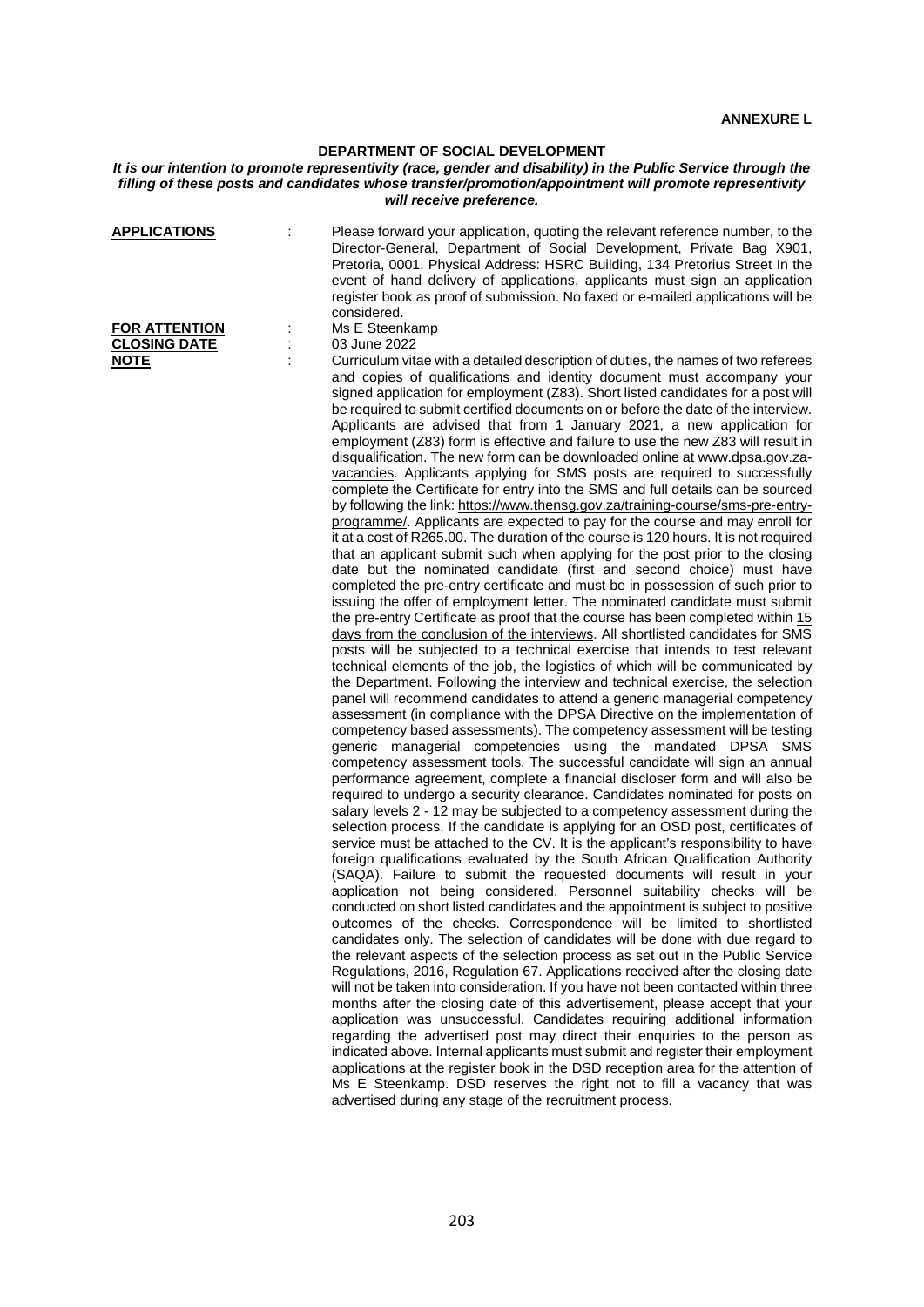## **DEPARTMENT OF SOCIAL DEVELOPMENT**

## *It is our intention to promote representivity (race, gender and disability) in the Public Service through the filling of these posts and candidates whose transfer/promotion/appointment will promote representivity will receive preference.*

| <b>APPLICATIONS</b><br><b>FOR ATTENTION</b><br><b>CLOSING DATE</b> | Please forward your application, quoting the relevant reference number, to the<br>Director-General, Department of Social Development, Private Bag X901,<br>Pretoria, 0001. Physical Address: HSRC Building, 134 Pretorius Street In the<br>event of hand delivery of applications, applicants must sign an application<br>register book as proof of submission. No faxed or e-mailed applications will be<br>considered.<br>Ms E Steenkamp<br>03 June 2022                                                                                                                                                                                                                                                                                                                                                                                                                                                                                                                                                                                                                                                                                                                                                                                                                                                                                                                                                                                                                                                                                                                                                                                                                                                                                                                                                                                                                                                                                                                                                                                                                                                                                                                                                                                                                                                                                                                                                                                                                                                                                                                                                                                                                                                                                                                                                                                                                                                                                                                                                                                                                                                                                                                                                                                                                                                                                                                                                                                                                                                                                                                                                                                                                                                                                                                                                                                                          |
|--------------------------------------------------------------------|---------------------------------------------------------------------------------------------------------------------------------------------------------------------------------------------------------------------------------------------------------------------------------------------------------------------------------------------------------------------------------------------------------------------------------------------------------------------------------------------------------------------------------------------------------------------------------------------------------------------------------------------------------------------------------------------------------------------------------------------------------------------------------------------------------------------------------------------------------------------------------------------------------------------------------------------------------------------------------------------------------------------------------------------------------------------------------------------------------------------------------------------------------------------------------------------------------------------------------------------------------------------------------------------------------------------------------------------------------------------------------------------------------------------------------------------------------------------------------------------------------------------------------------------------------------------------------------------------------------------------------------------------------------------------------------------------------------------------------------------------------------------------------------------------------------------------------------------------------------------------------------------------------------------------------------------------------------------------------------------------------------------------------------------------------------------------------------------------------------------------------------------------------------------------------------------------------------------------------------------------------------------------------------------------------------------------------------------------------------------------------------------------------------------------------------------------------------------------------------------------------------------------------------------------------------------------------------------------------------------------------------------------------------------------------------------------------------------------------------------------------------------------------------------------------------------------------------------------------------------------------------------------------------------------------------------------------------------------------------------------------------------------------------------------------------------------------------------------------------------------------------------------------------------------------------------------------------------------------------------------------------------------------------------------------------------------------------------------------------------------------------------------------------------------------------------------------------------------------------------------------------------------------------------------------------------------------------------------------------------------------------------------------------------------------------------------------------------------------------------------------------------------------------------------------------------------------------------------------------------|
| <b>NOTE</b>                                                        | Curriculum vitae with a detailed description of duties, the names of two referees<br>and copies of qualifications and identity document must accompany your<br>signed application for employment (Z83). Short listed candidates for a post will<br>be required to submit certified documents on or before the date of the interview.<br>Applicants are advised that from 1 January 2021, a new application for<br>employment (Z83) form is effective and failure to use the new Z83 will result in<br>disqualification. The new form can be downloaded online at www.dpsa.gov.za-<br>vacancies. Applicants applying for SMS posts are required to successfully<br>complete the Certificate for entry into the SMS and full details can be sourced<br>by following the link: https://www.thensg.gov.za/training-course/sms-pre-entry-<br>programme/. Applicants are expected to pay for the course and may enroll for<br>it at a cost of R265.00. The duration of the course is 120 hours. It is not required<br>that an applicant submit such when applying for the post prior to the closing<br>date but the nominated candidate (first and second choice) must have<br>completed the pre-entry certificate and must be in possession of such prior to<br>issuing the offer of employment letter. The nominated candidate must submit<br>the pre-entry Certificate as proof that the course has been completed within 15<br>days from the conclusion of the interviews. All shortlisted candidates for SMS<br>posts will be subjected to a technical exercise that intends to test relevant<br>technical elements of the job, the logistics of which will be communicated by<br>the Department. Following the interview and technical exercise, the selection<br>panel will recommend candidates to attend a generic managerial competency<br>assessment (in compliance with the DPSA Directive on the implementation of<br>competency based assessments). The competency assessment will be testing<br>generic managerial competencies using the mandated DPSA SMS<br>competency assessment tools. The successful candidate will sign an annual<br>performance agreement, complete a financial discloser form and will also be<br>required to undergo a security clearance. Candidates nominated for posts on<br>salary levels 2 - 12 may be subjected to a competency assessment during the<br>selection process. If the candidate is applying for an OSD post, certificates of<br>service must be attached to the CV. It is the applicant's responsibility to have<br>foreign qualifications evaluated by the South African Qualification Authority<br>(SAQA). Failure to submit the requested documents will result in your<br>application not being considered. Personnel suitability checks will be<br>conducted on short listed candidates and the appointment is subject to positive<br>outcomes of the checks. Correspondence will be limited to shortlisted<br>candidates only. The selection of candidates will be done with due regard to<br>the relevant aspects of the selection process as set out in the Public Service<br>Regulations, 2016, Regulation 67. Applications received after the closing date<br>will not be taken into consideration. If you have not been contacted within three<br>months after the closing date of this advertisement, please accept that your<br>application was unsuccessful. Candidates requiring additional information<br>regarding the advertised post may direct their enquiries to the person as<br>indicated above. Internal applicants must submit and register their employment<br>applications at the register book in the DSD reception area for the attention of<br>Ms E Steenkamp. DSD reserves the right not to fill a vacancy that was<br>advertised during any stage of the recruitment process. |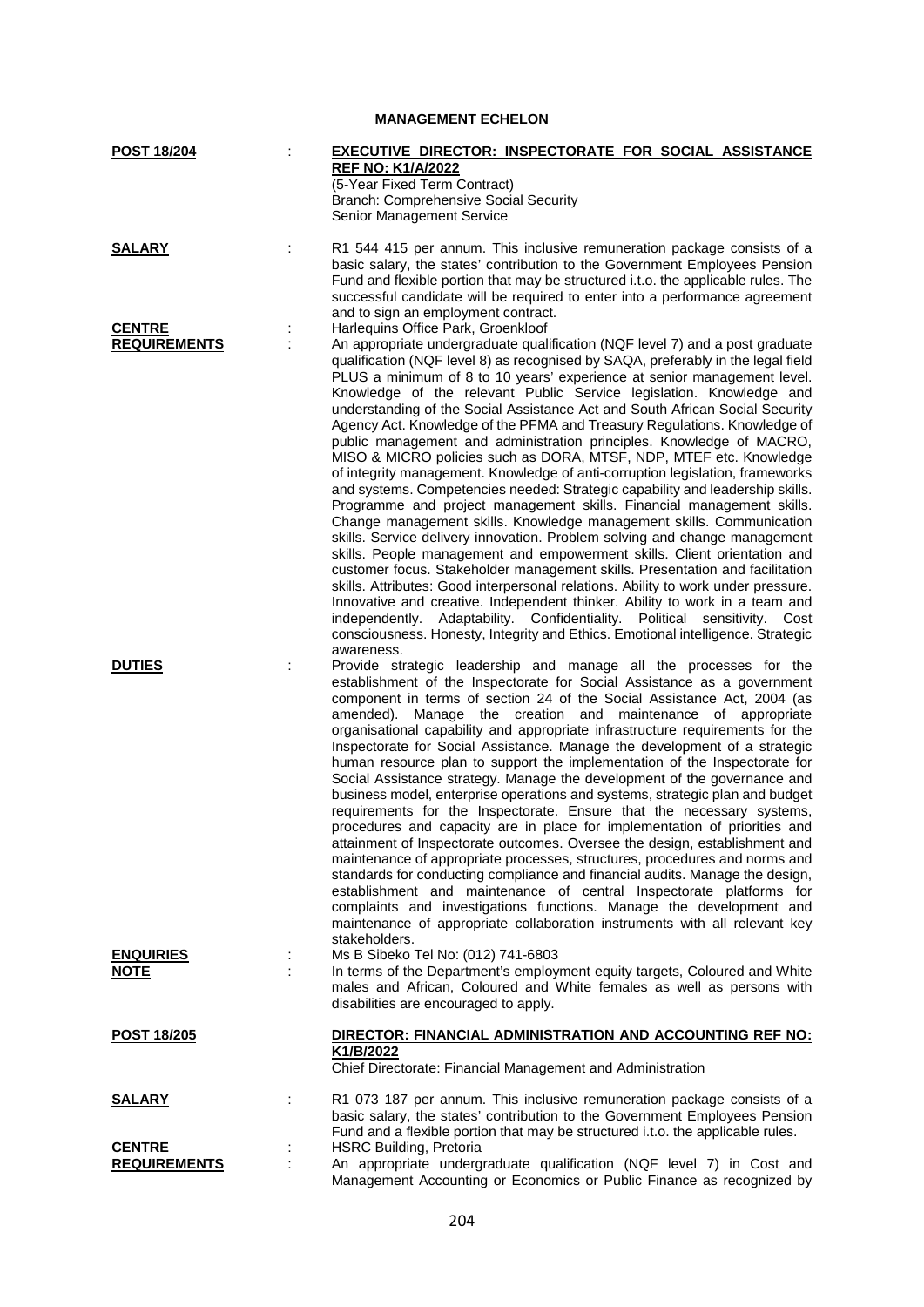| <b>POST 18/204</b>  | EXECUTIVE DIRECTOR: INSPECTORATE FOR SOCIAL ASSISTANCE                                                                                                         |
|---------------------|----------------------------------------------------------------------------------------------------------------------------------------------------------------|
|                     | <b>REF NO: K1/A/2022</b>                                                                                                                                       |
|                     | (5-Year Fixed Term Contract)                                                                                                                                   |
|                     | <b>Branch: Comprehensive Social Security</b>                                                                                                                   |
|                     | Senior Management Service                                                                                                                                      |
| <b>SALARY</b>       | R1 544 415 per annum. This inclusive remuneration package consists of a                                                                                        |
|                     | basic salary, the states' contribution to the Government Employees Pension                                                                                     |
|                     | Fund and flexible portion that may be structured i.t.o. the applicable rules. The                                                                              |
|                     | successful candidate will be required to enter into a performance agreement                                                                                    |
|                     | and to sign an employment contract.                                                                                                                            |
| <b>CENTRE</b>       | Harlequins Office Park, Groenkloof                                                                                                                             |
| <b>REQUIREMENTS</b> | An appropriate undergraduate qualification (NQF level 7) and a post graduate                                                                                   |
|                     | qualification (NQF level 8) as recognised by SAQA, preferably in the legal field                                                                               |
|                     | PLUS a minimum of 8 to 10 years' experience at senior management level.                                                                                        |
|                     | Knowledge of the relevant Public Service legislation. Knowledge and                                                                                            |
|                     | understanding of the Social Assistance Act and South African Social Security                                                                                   |
|                     | Agency Act. Knowledge of the PFMA and Treasury Regulations. Knowledge of                                                                                       |
|                     | public management and administration principles. Knowledge of MACRO,                                                                                           |
|                     | MISO & MICRO policies such as DORA, MTSF, NDP, MTEF etc. Knowledge                                                                                             |
|                     | of integrity management. Knowledge of anti-corruption legislation, frameworks<br>and systems. Competencies needed: Strategic capability and leadership skills. |
|                     | Programme and project management skills. Financial management skills.                                                                                          |
|                     | Change management skills. Knowledge management skills. Communication                                                                                           |
|                     | skills. Service delivery innovation. Problem solving and change management                                                                                     |
|                     | skills. People management and empowerment skills. Client orientation and                                                                                       |
|                     | customer focus. Stakeholder management skills. Presentation and facilitation                                                                                   |
|                     | skills. Attributes: Good interpersonal relations. Ability to work under pressure.                                                                              |
|                     | Innovative and creative. Independent thinker. Ability to work in a team and                                                                                    |
|                     | independently. Adaptability. Confidentiality. Political sensitivity. Cost                                                                                      |
|                     | consciousness. Honesty, Integrity and Ethics. Emotional intelligence. Strategic                                                                                |
|                     | awareness.                                                                                                                                                     |
| <b>DUTIES</b>       | Provide strategic leadership and manage all the processes for the                                                                                              |
|                     | establishment of the Inspectorate for Social Assistance as a government                                                                                        |
|                     | component in terms of section 24 of the Social Assistance Act, 2004 (as                                                                                        |
|                     | Manage the creation and maintenance of appropriate<br>amended).                                                                                                |
|                     | organisational capability and appropriate infrastructure requirements for the                                                                                  |
|                     | Inspectorate for Social Assistance. Manage the development of a strategic                                                                                      |
|                     | human resource plan to support the implementation of the Inspectorate for<br>Social Assistance strategy. Manage the development of the governance and          |
|                     | business model, enterprise operations and systems, strategic plan and budget                                                                                   |
|                     | requirements for the Inspectorate. Ensure that the necessary systems,                                                                                          |
|                     | procedures and capacity are in place for implementation of priorities and                                                                                      |
|                     | attainment of Inspectorate outcomes. Oversee the design, establishment and                                                                                     |
|                     | maintenance of appropriate processes, structures, procedures and norms and                                                                                     |
|                     | standards for conducting compliance and financial audits. Manage the design,                                                                                   |
|                     | establishment and maintenance of central Inspectorate platforms for                                                                                            |
|                     | complaints and investigations functions. Manage the development and                                                                                            |
|                     | maintenance of appropriate collaboration instruments with all relevant key                                                                                     |
|                     | stakeholders.                                                                                                                                                  |
| <b>ENQUIRIES</b>    | Ms B Sibeko Tel No: (012) 741-6803                                                                                                                             |
| <b>NOTE</b>         | In terms of the Department's employment equity targets, Coloured and White                                                                                     |
|                     | males and African, Coloured and White females as well as persons with                                                                                          |
|                     | disabilities are encouraged to apply.                                                                                                                          |
| POST 18/205         | DIRECTOR: FINANCIAL ADMINISTRATION AND ACCOUNTING REF NO:                                                                                                      |
|                     | K1/B/2022                                                                                                                                                      |
|                     | Chief Directorate: Financial Management and Administration                                                                                                     |
|                     |                                                                                                                                                                |
| <b>SALARY</b>       | R1 073 187 per annum. This inclusive remuneration package consists of a                                                                                        |
|                     | basic salary, the states' contribution to the Government Employees Pension                                                                                     |
| <b>CENTRE</b>       | Fund and a flexible portion that may be structured i.t.o. the applicable rules.<br><b>HSRC Building, Pretoria</b>                                              |
| <b>REQUIREMENTS</b> | An appropriate undergraduate qualification (NQF level 7) in Cost and                                                                                           |

**MANAGEMENT ECHELON**

Management Accounting or Economics or Public Finance as recognized by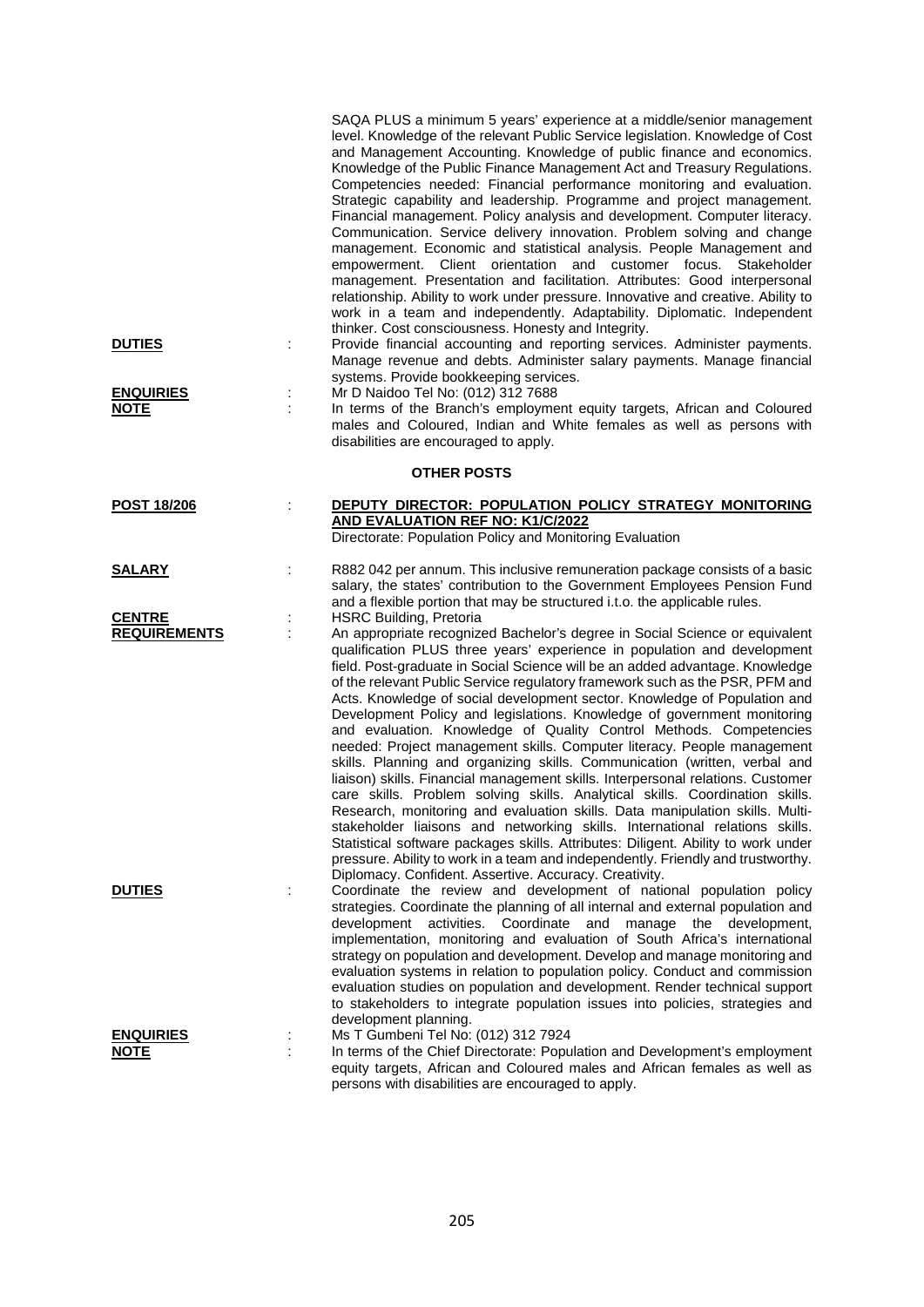|                                      | SAQA PLUS a minimum 5 years' experience at a middle/senior management<br>level. Knowledge of the relevant Public Service legislation. Knowledge of Cost<br>and Management Accounting. Knowledge of public finance and economics.<br>Knowledge of the Public Finance Management Act and Treasury Regulations.<br>Competencies needed: Financial performance monitoring and evaluation.<br>Strategic capability and leadership. Programme and project management.<br>Financial management. Policy analysis and development. Computer literacy.<br>Communication. Service delivery innovation. Problem solving and change<br>management. Economic and statistical analysis. People Management and<br>Client orientation and customer focus.<br>empowerment.<br>Stakeholder<br>management. Presentation and facilitation. Attributes: Good interpersonal<br>relationship. Ability to work under pressure. Innovative and creative. Ability to<br>work in a team and independently. Adaptability. Diplomatic. Independent<br>thinker. Cost consciousness. Honesty and Integrity.                                                                                                                                                                                                                                           |
|--------------------------------------|-----------------------------------------------------------------------------------------------------------------------------------------------------------------------------------------------------------------------------------------------------------------------------------------------------------------------------------------------------------------------------------------------------------------------------------------------------------------------------------------------------------------------------------------------------------------------------------------------------------------------------------------------------------------------------------------------------------------------------------------------------------------------------------------------------------------------------------------------------------------------------------------------------------------------------------------------------------------------------------------------------------------------------------------------------------------------------------------------------------------------------------------------------------------------------------------------------------------------------------------------------------------------------------------------------------------------|
| <b>DUTIES</b><br>÷                   | Provide financial accounting and reporting services. Administer payments.<br>Manage revenue and debts. Administer salary payments. Manage financial<br>systems. Provide bookkeeping services.                                                                                                                                                                                                                                                                                                                                                                                                                                                                                                                                                                                                                                                                                                                                                                                                                                                                                                                                                                                                                                                                                                                         |
| <b>ENQUIRIES</b><br>÷<br><u>NOTE</u> | Mr D Naidoo Tel No: (012) 312 7688<br>In terms of the Branch's employment equity targets, African and Coloured<br>males and Coloured, Indian and White females as well as persons with<br>disabilities are encouraged to apply.                                                                                                                                                                                                                                                                                                                                                                                                                                                                                                                                                                                                                                                                                                                                                                                                                                                                                                                                                                                                                                                                                       |
|                                      | <b>OTHER POSTS</b>                                                                                                                                                                                                                                                                                                                                                                                                                                                                                                                                                                                                                                                                                                                                                                                                                                                                                                                                                                                                                                                                                                                                                                                                                                                                                                    |
| <b>POST 18/206</b>                   | DEPUTY DIRECTOR: POPULATION POLICY STRATEGY MONITORING<br><b>AND EVALUATION REF NO: K1/C/2022</b><br>Directorate: Population Policy and Monitoring Evaluation                                                                                                                                                                                                                                                                                                                                                                                                                                                                                                                                                                                                                                                                                                                                                                                                                                                                                                                                                                                                                                                                                                                                                         |
| <u>SALARY</u>                        | R882 042 per annum. This inclusive remuneration package consists of a basic<br>salary, the states' contribution to the Government Employees Pension Fund<br>and a flexible portion that may be structured i.t.o. the applicable rules.                                                                                                                                                                                                                                                                                                                                                                                                                                                                                                                                                                                                                                                                                                                                                                                                                                                                                                                                                                                                                                                                                |
| <b>CENTRE</b><br><b>REQUIREMENTS</b> | <b>HSRC Building, Pretoria</b><br>An appropriate recognized Bachelor's degree in Social Science or equivalent<br>qualification PLUS three years' experience in population and development<br>field. Post-graduate in Social Science will be an added advantage. Knowledge<br>of the relevant Public Service regulatory framework such as the PSR, PFM and<br>Acts. Knowledge of social development sector. Knowledge of Population and<br>Development Policy and legislations. Knowledge of government monitoring<br>and evaluation. Knowledge of Quality Control Methods. Competencies<br>needed: Project management skills. Computer literacy. People management<br>skills. Planning and organizing skills. Communication (written, verbal and<br>liaison) skills. Financial management skills. Interpersonal relations. Customer<br>care skills. Problem solving skills. Analytical skills. Coordination skills.<br>Research, monitoring and evaluation skills. Data manipulation skills. Multi-<br>stakeholder liaisons and networking skills. International relations skills.<br>Statistical software packages skills. Attributes: Diligent. Ability to work under<br>pressure. Ability to work in a team and independently. Friendly and trustworthy.<br>Diplomacy. Confident. Assertive. Accuracy. Creativity. |
| <b>DUTIES</b>                        | Coordinate the review and development of national population policy<br>strategies. Coordinate the planning of all internal and external population and<br>development activities. Coordinate<br>and<br>manage<br>the<br>development,<br>implementation, monitoring and evaluation of South Africa's international<br>strategy on population and development. Develop and manage monitoring and<br>evaluation systems in relation to population policy. Conduct and commission<br>evaluation studies on population and development. Render technical support<br>to stakeholders to integrate population issues into policies, strategies and<br>development planning.                                                                                                                                                                                                                                                                                                                                                                                                                                                                                                                                                                                                                                                  |
| <b>ENQUIRIES</b><br><u>NOTE</u>      | Ms T Gumbeni Tel No: (012) 312 7924<br>In terms of the Chief Directorate: Population and Development's employment<br>equity targets, African and Coloured males and African females as well as<br>persons with disabilities are encouraged to apply.                                                                                                                                                                                                                                                                                                                                                                                                                                                                                                                                                                                                                                                                                                                                                                                                                                                                                                                                                                                                                                                                  |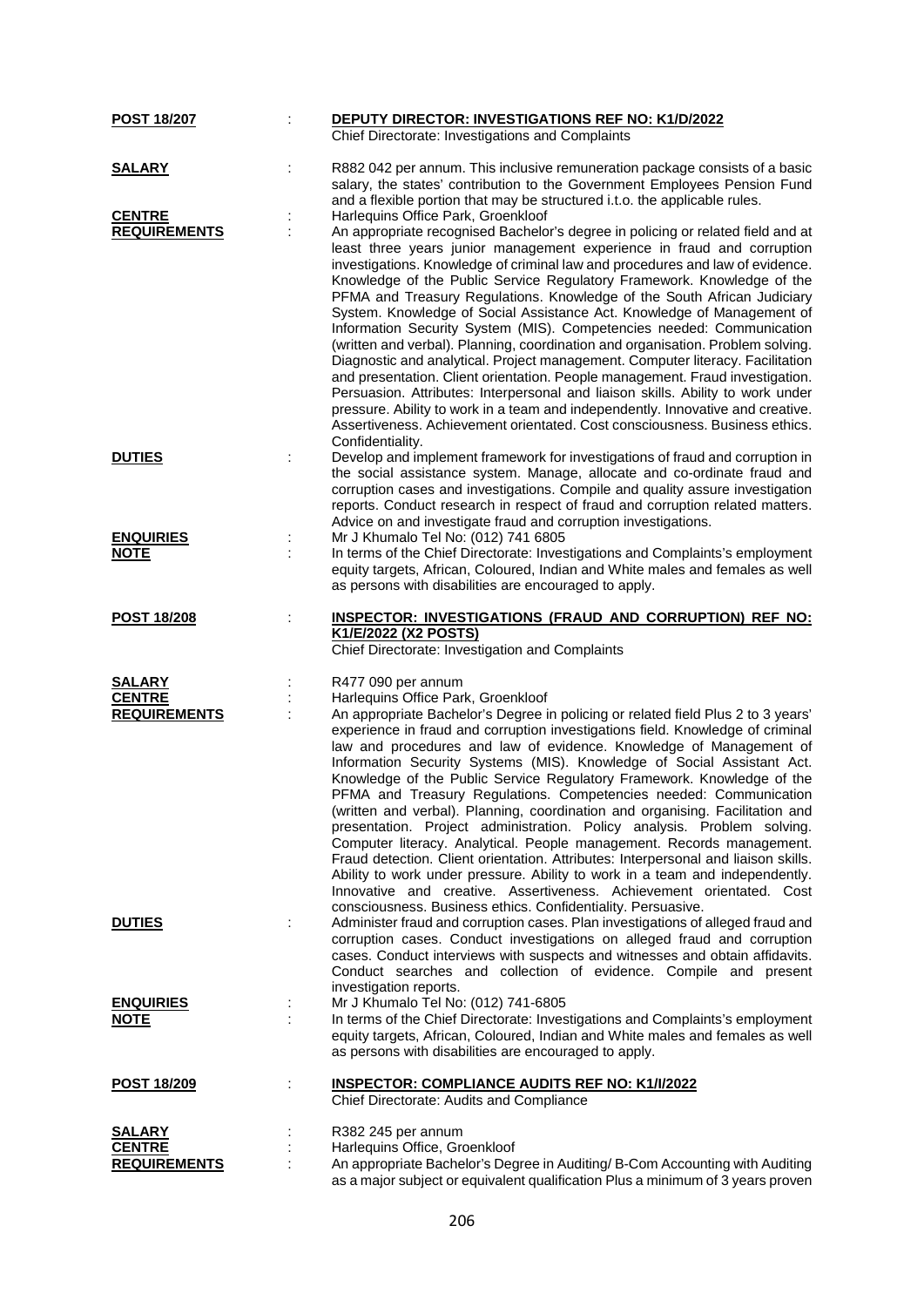| <b>POST 18/207</b>              | <b>DEPUTY DIRECTOR: INVESTIGATIONS REF NO: K1/D/2022</b>                                                                                                                                                                                                                                                                                                                                                                                                                                                                                                                                                                                                                                                                                                                                                                                                                                                                                                                                                                                                                          |
|---------------------------------|-----------------------------------------------------------------------------------------------------------------------------------------------------------------------------------------------------------------------------------------------------------------------------------------------------------------------------------------------------------------------------------------------------------------------------------------------------------------------------------------------------------------------------------------------------------------------------------------------------------------------------------------------------------------------------------------------------------------------------------------------------------------------------------------------------------------------------------------------------------------------------------------------------------------------------------------------------------------------------------------------------------------------------------------------------------------------------------|
|                                 | Chief Directorate: Investigations and Complaints                                                                                                                                                                                                                                                                                                                                                                                                                                                                                                                                                                                                                                                                                                                                                                                                                                                                                                                                                                                                                                  |
| <b>SALARY</b>                   | R882 042 per annum. This inclusive remuneration package consists of a basic<br>salary, the states' contribution to the Government Employees Pension Fund<br>and a flexible portion that may be structured i.t.o. the applicable rules.                                                                                                                                                                                                                                                                                                                                                                                                                                                                                                                                                                                                                                                                                                                                                                                                                                            |
| <b>CENTRE</b>                   | Harlequins Office Park, Groenkloof                                                                                                                                                                                                                                                                                                                                                                                                                                                                                                                                                                                                                                                                                                                                                                                                                                                                                                                                                                                                                                                |
| <b>REQUIREMENTS</b>             | An appropriate recognised Bachelor's degree in policing or related field and at<br>least three years junior management experience in fraud and corruption<br>investigations. Knowledge of criminal law and procedures and law of evidence.<br>Knowledge of the Public Service Regulatory Framework. Knowledge of the<br>PFMA and Treasury Regulations. Knowledge of the South African Judiciary<br>System. Knowledge of Social Assistance Act. Knowledge of Management of<br>Information Security System (MIS). Competencies needed: Communication<br>(written and verbal). Planning, coordination and organisation. Problem solving.<br>Diagnostic and analytical. Project management. Computer literacy. Facilitation<br>and presentation. Client orientation. People management. Fraud investigation.<br>Persuasion. Attributes: Interpersonal and liaison skills. Ability to work under<br>pressure. Ability to work in a team and independently. Innovative and creative.<br>Assertiveness. Achievement orientated. Cost consciousness. Business ethics.<br>Confidentiality. |
| <b>DUTIES</b>                   | Develop and implement framework for investigations of fraud and corruption in<br>the social assistance system. Manage, allocate and co-ordinate fraud and<br>corruption cases and investigations. Compile and quality assure investigation<br>reports. Conduct research in respect of fraud and corruption related matters.<br>Advice on and investigate fraud and corruption investigations.                                                                                                                                                                                                                                                                                                                                                                                                                                                                                                                                                                                                                                                                                     |
| <b>ENQUIRIES</b><br><b>NOTE</b> | Mr J Khumalo Tel No: (012) 741 6805<br>In terms of the Chief Directorate: Investigations and Complaints's employment<br>equity targets, African, Coloured, Indian and White males and females as well<br>as persons with disabilities are encouraged to apply.                                                                                                                                                                                                                                                                                                                                                                                                                                                                                                                                                                                                                                                                                                                                                                                                                    |
| <b>POST 18/208</b>              | <b>INSPECTOR: INVESTIGATIONS (FRAUD AND CORRUPTION) REF NO:</b>                                                                                                                                                                                                                                                                                                                                                                                                                                                                                                                                                                                                                                                                                                                                                                                                                                                                                                                                                                                                                   |
|                                 | K1/E/2022 (X2 POSTS)<br>Chief Directorate: Investigation and Complaints                                                                                                                                                                                                                                                                                                                                                                                                                                                                                                                                                                                                                                                                                                                                                                                                                                                                                                                                                                                                           |
| <b>SALARY</b>                   | R477 090 per annum                                                                                                                                                                                                                                                                                                                                                                                                                                                                                                                                                                                                                                                                                                                                                                                                                                                                                                                                                                                                                                                                |
| <b>CENTRE</b>                   | Harlequins Office Park, Groenkloof                                                                                                                                                                                                                                                                                                                                                                                                                                                                                                                                                                                                                                                                                                                                                                                                                                                                                                                                                                                                                                                |
| <b>REQUIREMENTS</b>             | An appropriate Bachelor's Degree in policing or related field Plus 2 to 3 years'<br>experience in fraud and corruption investigations field. Knowledge of criminal<br>law and procedures and law of evidence. Knowledge of Management of<br>Information Security Systems (MIS). Knowledge of Social Assistant Act.<br>Knowledge of the Public Service Regulatory Framework. Knowledge of the<br>PFMA and Treasury Regulations. Competencies needed: Communication<br>(written and verbal). Planning, coordination and organising. Facilitation and<br>presentation. Project administration. Policy analysis. Problem solving.<br>Computer literacy. Analytical. People management. Records management.<br>Fraud detection. Client orientation. Attributes: Interpersonal and liaison skills.<br>Ability to work under pressure. Ability to work in a team and independently.<br>Innovative and creative. Assertiveness. Achievement orientated. Cost<br>consciousness. Business ethics. Confidentiality. Persuasive.                                                              |
| <b>DUTIES</b>                   | Administer fraud and corruption cases. Plan investigations of alleged fraud and<br>corruption cases. Conduct investigations on alleged fraud and corruption<br>cases. Conduct interviews with suspects and witnesses and obtain affidavits.<br>Conduct searches and collection of evidence. Compile and present<br>investigation reports.                                                                                                                                                                                                                                                                                                                                                                                                                                                                                                                                                                                                                                                                                                                                         |
| <b>ENQUIRIES</b><br><b>NOTE</b> | Mr J Khumalo Tel No: (012) 741-6805<br>In terms of the Chief Directorate: Investigations and Complaints's employment<br>equity targets, African, Coloured, Indian and White males and females as well<br>as persons with disabilities are encouraged to apply.                                                                                                                                                                                                                                                                                                                                                                                                                                                                                                                                                                                                                                                                                                                                                                                                                    |
| <b>POST 18/209</b>              | <b>INSPECTOR: COMPLIANCE AUDITS REF NO: K1/I/2022</b><br>Chief Directorate: Audits and Compliance                                                                                                                                                                                                                                                                                                                                                                                                                                                                                                                                                                                                                                                                                                                                                                                                                                                                                                                                                                                 |
| <u>SALARY</u>                   | R382 245 per annum                                                                                                                                                                                                                                                                                                                                                                                                                                                                                                                                                                                                                                                                                                                                                                                                                                                                                                                                                                                                                                                                |
| <b>CENTRE</b>                   |                                                                                                                                                                                                                                                                                                                                                                                                                                                                                                                                                                                                                                                                                                                                                                                                                                                                                                                                                                                                                                                                                   |
| <b>REQUIREMENTS</b>             | Harlequins Office, Groenkloof<br>An appropriate Bachelor's Degree in Auditing/ B-Com Accounting with Auditing                                                                                                                                                                                                                                                                                                                                                                                                                                                                                                                                                                                                                                                                                                                                                                                                                                                                                                                                                                     |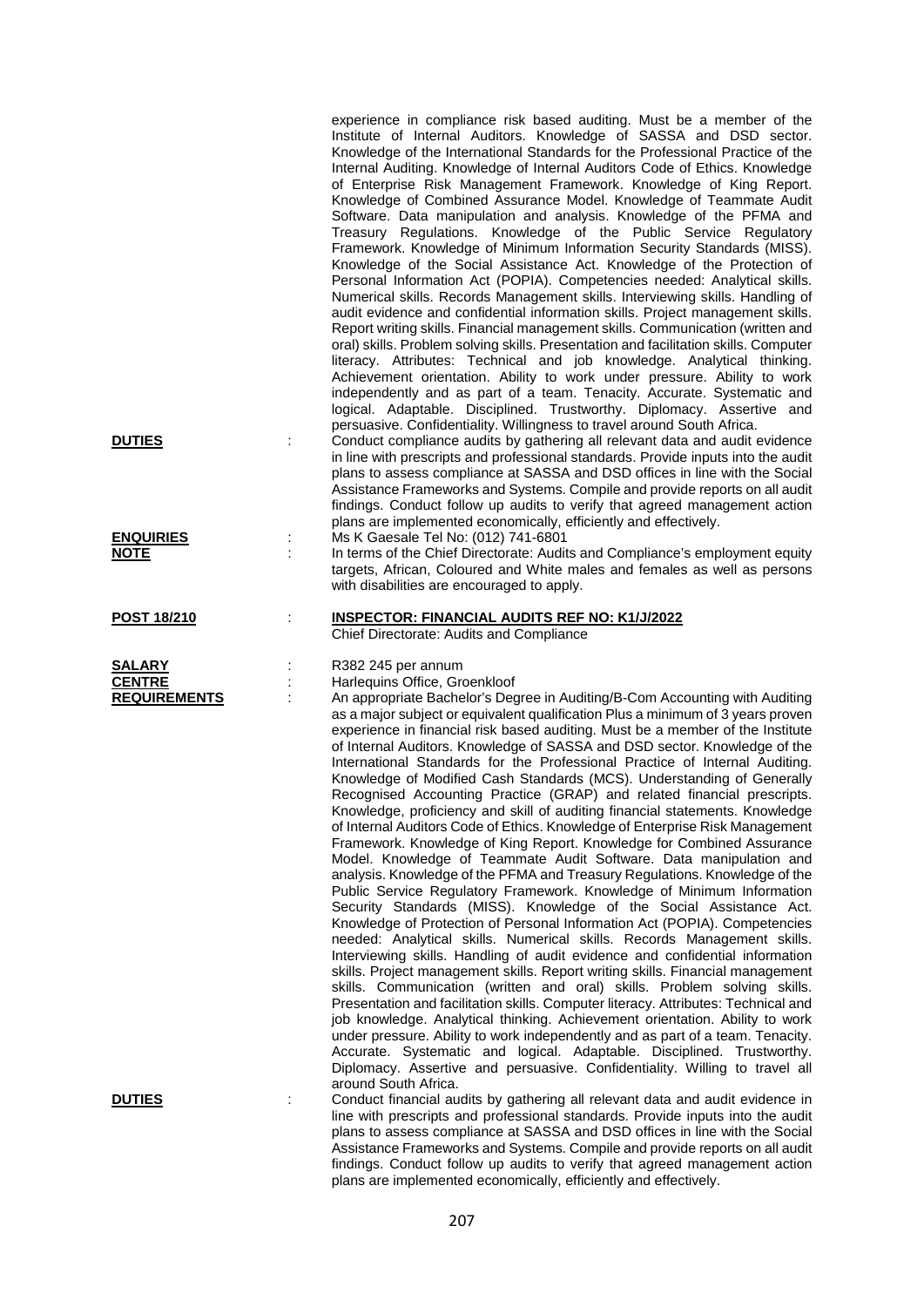|                                                       | experience in compliance risk based auditing. Must be a member of the<br>Institute of Internal Auditors. Knowledge of SASSA and DSD sector.<br>Knowledge of the International Standards for the Professional Practice of the<br>Internal Auditing. Knowledge of Internal Auditors Code of Ethics. Knowledge<br>of Enterprise Risk Management Framework. Knowledge of King Report.<br>Knowledge of Combined Assurance Model. Knowledge of Teammate Audit<br>Software. Data manipulation and analysis. Knowledge of the PFMA and<br>Treasury Regulations. Knowledge of the Public Service Regulatory<br>Framework. Knowledge of Minimum Information Security Standards (MISS).<br>Knowledge of the Social Assistance Act. Knowledge of the Protection of<br>Personal Information Act (POPIA). Competencies needed: Analytical skills.<br>Numerical skills. Records Management skills. Interviewing skills. Handling of<br>audit evidence and confidential information skills. Project management skills.<br>Report writing skills. Financial management skills. Communication (written and<br>oral) skills. Problem solving skills. Presentation and facilitation skills. Computer<br>literacy. Attributes: Technical and job knowledge. Analytical thinking.<br>Achievement orientation. Ability to work under pressure. Ability to work<br>independently and as part of a team. Tenacity. Accurate. Systematic and<br>logical. Adaptable. Disciplined. Trustworthy. Diplomacy. Assertive and<br>persuasive. Confidentiality. Willingness to travel around South Africa.                                                                                                                                                                                                                                                                                                                                                                                                                                             |
|-------------------------------------------------------|---------------------------------------------------------------------------------------------------------------------------------------------------------------------------------------------------------------------------------------------------------------------------------------------------------------------------------------------------------------------------------------------------------------------------------------------------------------------------------------------------------------------------------------------------------------------------------------------------------------------------------------------------------------------------------------------------------------------------------------------------------------------------------------------------------------------------------------------------------------------------------------------------------------------------------------------------------------------------------------------------------------------------------------------------------------------------------------------------------------------------------------------------------------------------------------------------------------------------------------------------------------------------------------------------------------------------------------------------------------------------------------------------------------------------------------------------------------------------------------------------------------------------------------------------------------------------------------------------------------------------------------------------------------------------------------------------------------------------------------------------------------------------------------------------------------------------------------------------------------------------------------------------------------------------------------------------------------------------------------------------------------------|
| <b>DUTIES</b>                                         | Conduct compliance audits by gathering all relevant data and audit evidence<br>in line with prescripts and professional standards. Provide inputs into the audit<br>plans to assess compliance at SASSA and DSD offices in line with the Social<br>Assistance Frameworks and Systems. Compile and provide reports on all audit<br>findings. Conduct follow up audits to verify that agreed management action<br>plans are implemented economically, efficiently and effectively.                                                                                                                                                                                                                                                                                                                                                                                                                                                                                                                                                                                                                                                                                                                                                                                                                                                                                                                                                                                                                                                                                                                                                                                                                                                                                                                                                                                                                                                                                                                                    |
| <b>ENQUIRIES</b><br><u>NOTE</u>                       | Ms K Gaesale Tel No: (012) 741-6801<br>In terms of the Chief Directorate: Audits and Compliance's employment equity<br>targets, African, Coloured and White males and females as well as persons<br>with disabilities are encouraged to apply.                                                                                                                                                                                                                                                                                                                                                                                                                                                                                                                                                                                                                                                                                                                                                                                                                                                                                                                                                                                                                                                                                                                                                                                                                                                                                                                                                                                                                                                                                                                                                                                                                                                                                                                                                                      |
| POST 18/210                                           | <b>INSPECTOR: FINANCIAL AUDITS REF NO: K1/J/2022</b><br>Chief Directorate: Audits and Compliance                                                                                                                                                                                                                                                                                                                                                                                                                                                                                                                                                                                                                                                                                                                                                                                                                                                                                                                                                                                                                                                                                                                                                                                                                                                                                                                                                                                                                                                                                                                                                                                                                                                                                                                                                                                                                                                                                                                    |
| <b>SALARY</b><br><b>CENTRE</b><br><b>REQUIREMENTS</b> | R382 245 per annum<br>Harlequins Office, Groenkloof<br>An appropriate Bachelor's Degree in Auditing/B-Com Accounting with Auditing<br>as a major subject or equivalent qualification Plus a minimum of 3 years proven<br>experience in financial risk based auditing. Must be a member of the Institute<br>of Internal Auditors. Knowledge of SASSA and DSD sector. Knowledge of the<br>International Standards for the Professional Practice of Internal Auditing.<br>Knowledge of Modified Cash Standards (MCS). Understanding of Generally<br>Recognised Accounting Practice (GRAP) and related financial prescripts.<br>Knowledge, proficiency and skill of auditing financial statements. Knowledge<br>of Internal Auditors Code of Ethics. Knowledge of Enterprise Risk Management<br>Framework. Knowledge of King Report. Knowledge for Combined Assurance<br>Model. Knowledge of Teammate Audit Software. Data manipulation and<br>analysis. Knowledge of the PFMA and Treasury Regulations. Knowledge of the<br>Public Service Regulatory Framework. Knowledge of Minimum Information<br>Security Standards (MISS). Knowledge of the Social Assistance Act.<br>Knowledge of Protection of Personal Information Act (POPIA). Competencies<br>needed: Analytical skills. Numerical skills. Records Management skills.<br>Interviewing skills. Handling of audit evidence and confidential information<br>skills. Project management skills. Report writing skills. Financial management<br>skills. Communication (written and oral) skills. Problem solving skills.<br>Presentation and facilitation skills. Computer literacy. Attributes: Technical and<br>job knowledge. Analytical thinking. Achievement orientation. Ability to work<br>under pressure. Ability to work independently and as part of a team. Tenacity.<br>Accurate. Systematic and logical. Adaptable. Disciplined. Trustworthy.<br>Diplomacy. Assertive and persuasive. Confidentiality. Willing to travel all<br>around South Africa. |
| <b>DUTIES</b>                                         | Conduct financial audits by gathering all relevant data and audit evidence in<br>line with prescripts and professional standards. Provide inputs into the audit<br>plans to assess compliance at SASSA and DSD offices in line with the Social<br>Assistance Frameworks and Systems. Compile and provide reports on all audit<br>findings. Conduct follow up audits to verify that agreed management action<br>plans are implemented economically, efficiently and effectively.                                                                                                                                                                                                                                                                                                                                                                                                                                                                                                                                                                                                                                                                                                                                                                                                                                                                                                                                                                                                                                                                                                                                                                                                                                                                                                                                                                                                                                                                                                                                     |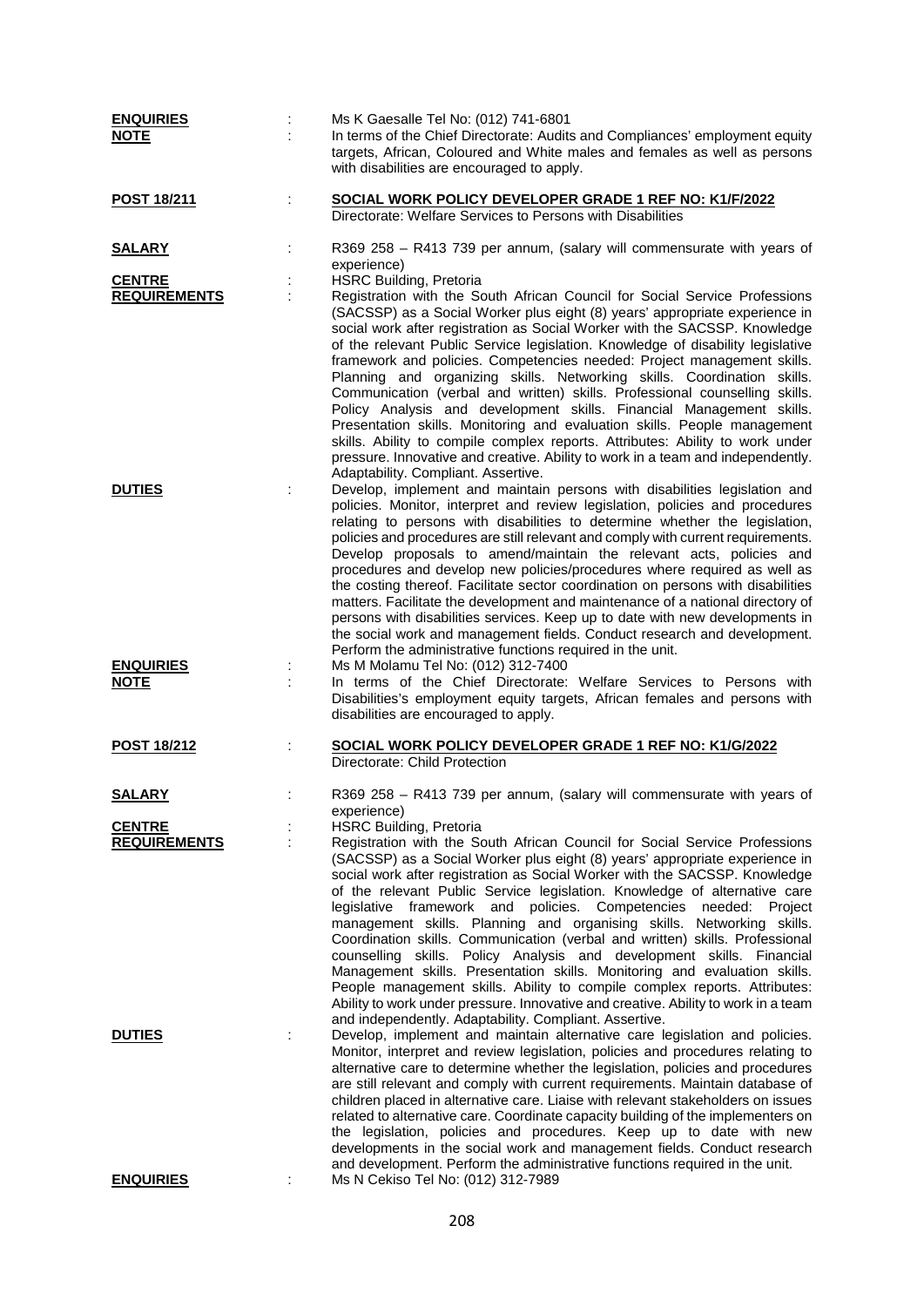| <b>ENQUIRIES</b><br><b>NOTE</b>      | Ms K Gaesalle Tel No: (012) 741-6801<br>In terms of the Chief Directorate: Audits and Compliances' employment equity<br>targets, African, Coloured and White males and females as well as persons<br>with disabilities are encouraged to apply.                                                                                                                                                                                                                                                                                                                                                                                                                                                                                                                                                                                                                                                                                                                           |
|--------------------------------------|---------------------------------------------------------------------------------------------------------------------------------------------------------------------------------------------------------------------------------------------------------------------------------------------------------------------------------------------------------------------------------------------------------------------------------------------------------------------------------------------------------------------------------------------------------------------------------------------------------------------------------------------------------------------------------------------------------------------------------------------------------------------------------------------------------------------------------------------------------------------------------------------------------------------------------------------------------------------------|
| POST 18/211                          | SOCIAL WORK POLICY DEVELOPER GRADE 1 REF NO: K1/F/2022<br>Directorate: Welfare Services to Persons with Disabilities                                                                                                                                                                                                                                                                                                                                                                                                                                                                                                                                                                                                                                                                                                                                                                                                                                                      |
| <u>SALARY</u>                        | R369 258 - R413 739 per annum, (salary will commensurate with years of<br>experience)                                                                                                                                                                                                                                                                                                                                                                                                                                                                                                                                                                                                                                                                                                                                                                                                                                                                                     |
| <b>CENTRE</b>                        | <b>HSRC Building, Pretoria</b>                                                                                                                                                                                                                                                                                                                                                                                                                                                                                                                                                                                                                                                                                                                                                                                                                                                                                                                                            |
| <b>REQUIREMENTS</b>                  | Registration with the South African Council for Social Service Professions<br>(SACSSP) as a Social Worker plus eight (8) years' appropriate experience in<br>social work after registration as Social Worker with the SACSSP. Knowledge<br>of the relevant Public Service legislation. Knowledge of disability legislative<br>framework and policies. Competencies needed: Project management skills.<br>Planning and organizing skills. Networking skills. Coordination skills.<br>Communication (verbal and written) skills. Professional counselling skills.<br>Policy Analysis and development skills. Financial Management skills.<br>Presentation skills. Monitoring and evaluation skills. People management<br>skills. Ability to compile complex reports. Attributes: Ability to work under<br>pressure. Innovative and creative. Ability to work in a team and independently.<br>Adaptability. Compliant. Assertive.                                            |
| <b>DUTIES</b>                        | Develop, implement and maintain persons with disabilities legislation and<br>policies. Monitor, interpret and review legislation, policies and procedures<br>relating to persons with disabilities to determine whether the legislation,<br>policies and procedures are still relevant and comply with current requirements.<br>Develop proposals to amend/maintain the relevant acts, policies and<br>procedures and develop new policies/procedures where required as well as<br>the costing thereof. Facilitate sector coordination on persons with disabilities<br>matters. Facilitate the development and maintenance of a national directory of<br>persons with disabilities services. Keep up to date with new developments in<br>the social work and management fields. Conduct research and development.<br>Perform the administrative functions required in the unit.                                                                                           |
| <b>ENQUIRIES</b><br><u>NOTE</u>      | Ms M Molamu Tel No: (012) 312-7400<br>In terms of the Chief Directorate: Welfare Services to Persons with<br>Disabilities's employment equity targets, African females and persons with<br>disabilities are encouraged to apply.                                                                                                                                                                                                                                                                                                                                                                                                                                                                                                                                                                                                                                                                                                                                          |
| <b>POST 18/212</b>                   | SOCIAL WORK POLICY DEVELOPER GRADE 1 REF NO: K1/G/2022<br>Directorate: Child Protection                                                                                                                                                                                                                                                                                                                                                                                                                                                                                                                                                                                                                                                                                                                                                                                                                                                                                   |
| <b>SALARY</b>                        | R369 258 - R413 739 per annum, (salary will commensurate with years of<br>experience)                                                                                                                                                                                                                                                                                                                                                                                                                                                                                                                                                                                                                                                                                                                                                                                                                                                                                     |
| <b>CENTRE</b><br><b>REQUIREMENTS</b> | <b>HSRC Building, Pretoria</b><br>Registration with the South African Council for Social Service Professions<br>(SACSSP) as a Social Worker plus eight (8) years' appropriate experience in<br>social work after registration as Social Worker with the SACSSP. Knowledge<br>of the relevant Public Service legislation. Knowledge of alternative care<br>legislative framework and policies. Competencies needed:<br>Project<br>management skills. Planning and organising skills. Networking skills.<br>Coordination skills. Communication (verbal and written) skills. Professional<br>counselling skills. Policy Analysis and development skills. Financial<br>Management skills. Presentation skills. Monitoring and evaluation skills.<br>People management skills. Ability to compile complex reports. Attributes:<br>Ability to work under pressure. Innovative and creative. Ability to work in a team<br>and independently. Adaptability. Compliant. Assertive. |
| <b>DUTIES</b>                        | Develop, implement and maintain alternative care legislation and policies.<br>Monitor, interpret and review legislation, policies and procedures relating to<br>alternative care to determine whether the legislation, policies and procedures<br>are still relevant and comply with current requirements. Maintain database of<br>children placed in alternative care. Liaise with relevant stakeholders on issues<br>related to alternative care. Coordinate capacity building of the implementers on<br>the legislation, policies and procedures. Keep up to date with new<br>developments in the social work and management fields. Conduct research<br>and development. Perform the administrative functions required in the unit.                                                                                                                                                                                                                                   |
| <b>ENQUIRIES</b>                     | Ms N Cekiso Tel No: (012) 312-7989                                                                                                                                                                                                                                                                                                                                                                                                                                                                                                                                                                                                                                                                                                                                                                                                                                                                                                                                        |